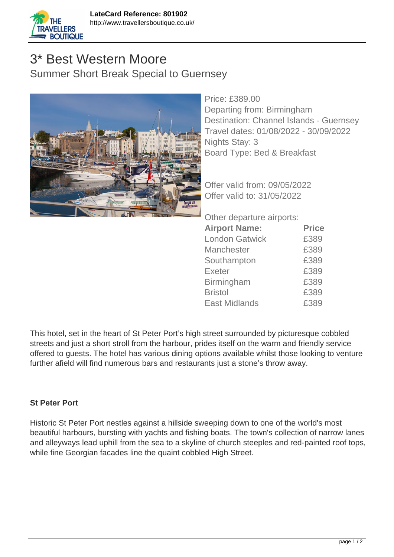

## 3\* Best Western Moore Summer Short Break Special to Guernsey



Price: £389.00 Departing from: Birmingham Destination: Channel Islands - Guernsey Travel dates: 01/08/2022 - 30/09/2022 Nights Stay: 3 Board Type: Bed & Breakfast

Offer valid from: 09/05/2022 Offer valid to: 31/05/2022

Other departure airports:

| <b>Airport Name:</b>  | <b>Price</b> |
|-----------------------|--------------|
| <b>London Gatwick</b> | £389         |
| <b>Manchester</b>     | £389         |
| Southampton           | £389         |
| <b>Exeter</b>         | £389         |
| <b>Birmingham</b>     | £389         |
| <b>Bristol</b>        | £389         |
| <b>East Midlands</b>  | £389         |

This hotel, set in the heart of St Peter Port's high street surrounded by picturesque cobbled streets and just a short stroll from the harbour, prides itself on the warm and friendly service offered to guests. The hotel has various dining options available whilst those looking to venture further afield will find numerous bars and restaurants just a stone's throw away.

## **St Peter Port**

Historic St Peter Port nestles against a hillside sweeping down to one of the world's most beautiful harbours, bursting with yachts and fishing boats. The town's collection of narrow lanes and alleyways lead uphill from the sea to a skyline of church steeples and red-painted roof tops, while fine Georgian facades line the quaint cobbled High Street.